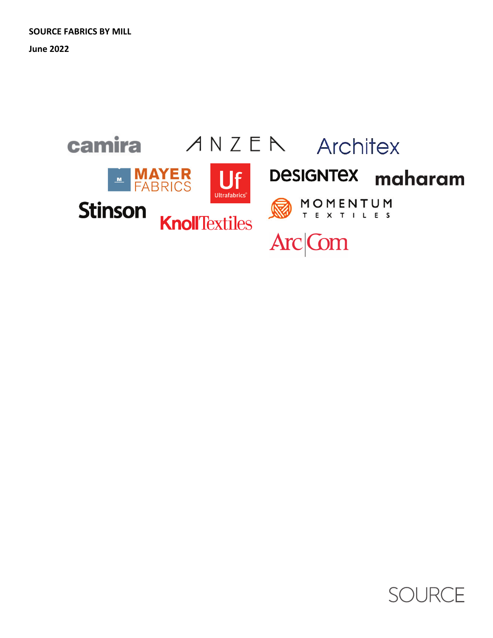**June 2022**



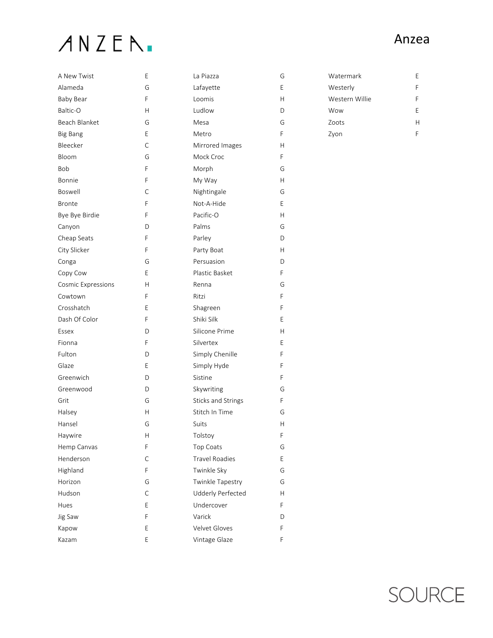### ANZEN.

| A New Twist               | Ε | La Piazza             | G |
|---------------------------|---|-----------------------|---|
| Alameda                   | G | Lafayette             | Е |
| Baby Bear                 | F | Loomis                | Н |
| Baltic-O                  | Н | Ludlow                | D |
| Beach Blanket             | G | Mesa                  | G |
| <b>Big Bang</b>           | Е | Metro                 | F |
| Bleecker                  | C | Mirrored Images       | Н |
| Bloom                     | G | Mock Croc             | F |
| Bob                       | F | Morph                 | G |
| Bonnie                    | F | My Way                | Н |
| Boswell                   | C | Nightingale           | G |
| <b>Bronte</b>             | F | Not-A-Hide            | Е |
| Bye Bye Birdie            | F | Pacific-O             | Н |
| Canyon                    | D | Palms                 | G |
| Cheap Seats               | F | Parley                | D |
| City Slicker              | F | Party Boat            | Н |
| Conga                     | G | Persuasion            | D |
| Copy Cow                  | Е | Plastic Basket        | F |
| <b>Cosmic Expressions</b> | Н | Renna                 | G |
| Cowtown                   | F | Ritzi                 | F |
| Crosshatch                | Ε | Shagreen              | F |
| Dash Of Color             | F | Shiki Silk            | Е |
| Essex                     | D | Silicone Prime        | Н |
| Fionna                    | F | Silvertex             | E |
| Fulton                    | D | Simply Chenille       | F |
| Glaze                     | Е | Simply Hyde           | F |
| Greenwich                 | D | Sistine               | F |
| Greenwood                 | D | Skywriting            | G |
| Grit                      | G | Sticks and Strings    | F |
| Halsey                    | Н | Stitch In Time        | G |
| Hansel                    | G | Suits                 | Η |
| Haywire                   | Н | Tolstoy               | F |
| Hemp Canvas               | F | Top Coats             | G |
| Henderson                 | C | <b>Travel Roadies</b> | E |
| Highland                  | F | Twinkle Sky           | G |
| Horizon                   | G | Twinkle Tapestry      | G |
| Hudson                    | С | Udderly Perfected     | Н |
| Hues                      | Е | Undercover            | F |
| Jig Saw                   | F | Varick                | D |
| Kapow                     | Е | Velvet Gloves         | F |
| Kazam                     | E | Vintage Glaze         | F |

| Watermark      | F |
|----------------|---|
| Westerly       | F |
| Western Willie | F |
| Wow            | F |
| Zoots          | н |
| Zyon           |   |

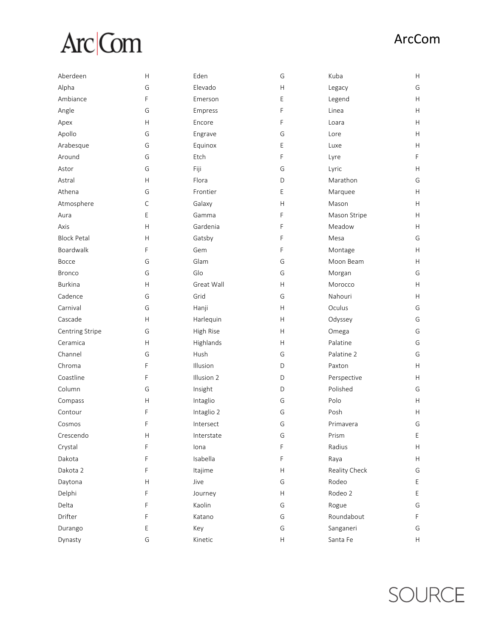# Arc| Com

| Aberdeen           | H            | Eden       | G                         | Kuba          | H  |
|--------------------|--------------|------------|---------------------------|---------------|----|
| Alpha              | G            | Elevado    | Н                         | Legacy        | G  |
| Ambiance           | F            | Emerson    | E                         | Legend        | H. |
| Angle              | G            | Empress    | F                         | Linea         | Н. |
| Apex               | H            | Encore     | F                         | Loara         | H. |
| Apollo             | G            | Engrave    | G                         | Lore          | H. |
| Arabesque          | G            | Equinox    | E                         | Luxe          | н  |
| Around             | G            | Etch       | F                         | Lyre          | F  |
| Astor              | G            | Fiji       | G                         | Lyric         | H  |
| Astral             | $\mathsf{H}$ | Flora      | D                         | Marathon      | G  |
| Athena             | G            | Frontier   | E                         | Marquee       | H  |
| Atmosphere         | C            | Galaxy     | H                         | Mason         | H  |
| Aura               | Е            | Gamma      | F                         | Mason Stripe  | Н. |
| Axis               | H            | Gardenia   | F                         | Meadow        | Н. |
| <b>Block Petal</b> | $\mathsf{H}$ | Gatsby     | F                         | Mesa          | G  |
| Boardwalk          | F            | Gem        | F                         | Montage       | H  |
| Bocce              | G            | Glam       | G                         | Moon Beam     | H  |
| <b>Bronco</b>      | G            | Glo        | G                         | Morgan        | G  |
| <b>Burkina</b>     | $\mathsf{H}$ | Great Wall | H                         | Morocco       | Н. |
| Cadence            | G            | Grid       | G                         | Nahouri       | H  |
| Carnival           | G            | Hanji      | H                         | Oculus        | G  |
| Cascade            | H            | Harlequin  | H                         | Odyssey       | G  |
| Centring Stripe    | G            | High Rise  | H                         | Omega         | G  |
| Ceramica           | $\mathsf{H}$ | Highlands  | H                         | Palatine      | G  |
| Channel            | G            | Hush       | G                         | Palatine 2    | G  |
| Chroma             | F            | Illusion   | D                         | Paxton        | H  |
| Coastline          | F            | Illusion 2 | D                         | Perspective   | H  |
| Column             | G            | Insight    | D                         | Polished      | G  |
| Compass            | $\mathsf{H}$ | Intaglio   | G                         | Polo          | H  |
| Contour            | F            | Intaglio 2 | G                         | Posh          | H  |
| Cosmos             | F            | Intersect  | G                         | Primavera     | G  |
| Crescendo          | Н            | Interstate | G                         | Prism         | Ε  |
| Crystal            | F            | lona       | F                         | Radius        | Н. |
| Dakota             | F            | Isabella   | F                         | Raya          | H  |
| Dakota 2           | F            | Itajime    | Н                         | Reality Check | G  |
| Daytona            | H            | Jive       | G                         | Rodeo         | E  |
| Delphi             | F            | Journey    | $\boldsymbol{\mathsf{H}}$ | Rodeo 2       | E  |
| Delta              | F            | Kaolin     | G                         | Rogue         | G  |
| Drifter            | F            | Katano     | G                         | Roundabout    | F  |
| Durango            | Ε            | Key        | G                         | Sanganeri     | G  |
| Dynasty            | G            | Kinetic    | Н                         | Santa Fe      | Н. |

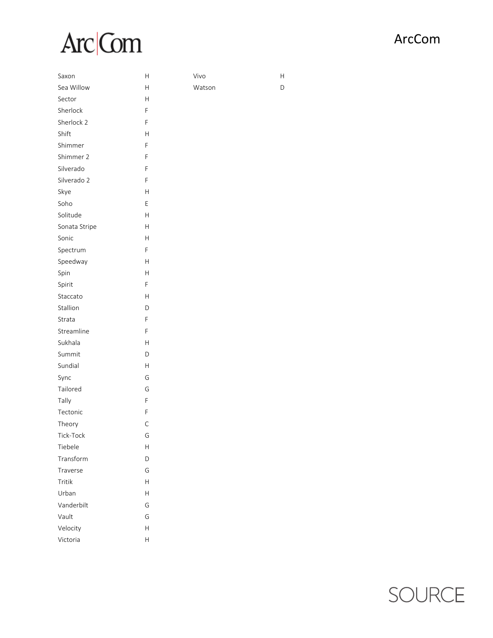# Arc| Com

Vivo

Watson

H

 $\mathsf D$ 

| Saxon         | Н |
|---------------|---|
| Sea Willow    | Н |
| Sector        | Н |
| Sherlock      | F |
| Sherlock 2    | F |
| Shift         | Н |
| Shimmer       | F |
| Shimmer 2     | F |
| Silverado     | F |
| Silverado 2   | F |
| Skye          | Н |
| Soho          | Е |
| Solitude      | Н |
| Sonata Stripe | Н |
| Sonic         | Н |
| Spectrum      | F |
| Speedway      | Н |
| Spin          | Н |
| Spirit        | F |
| Staccato      | Н |
| Stallion      | D |
| Strata        | F |
| Streamline    | F |
| Sukhala       | Н |
| Summit        | D |
| Sundial       | Н |
| Sync          | G |
| Tailored      | G |
| Tally         | F |
| Tectonic      | F |
| Theory        | С |
| Tick-Tock     | G |
| Tiebele       | Η |
| Transform     | D |
| Traverse      | G |
| Tritik        | Н |
| Urban         | Н |
| Vanderbilt    | G |
| Vault         | G |
| Velocity      | Н |
| Victoria      | Н |

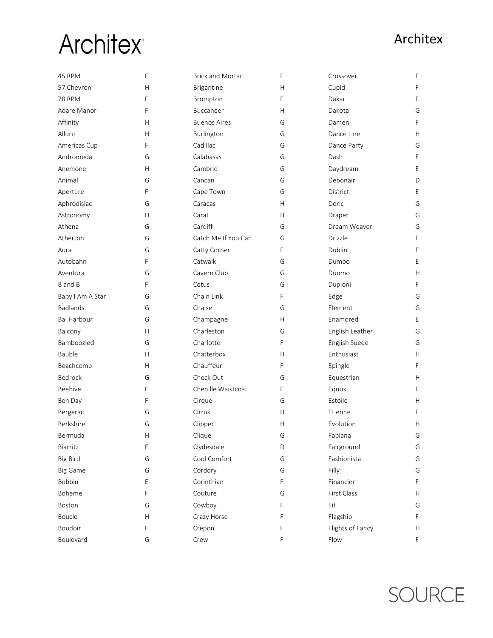| 45 RPM             | Ε            | <b>Brick and Mortar</b> | F | Crossover        | F  |
|--------------------|--------------|-------------------------|---|------------------|----|
| 57 Chevron         | H            | Brigantine              | H | Cupid            | F  |
| <b>78 RPM</b>      | F            | Brompton                | F | Dakar            | F  |
| Adare Manor        | F            | Buccaneer               | H | Dakota           | G  |
| Affinity           | Н            | <b>Buenos Aires</b>     | G | Damen            | F  |
| Allure             | Н            | Burlington              | G | Dance Line       | H  |
| Americas Cup       | F            | Cadillac                | G | Dance Party      | G  |
| Andromeda          | G            | Calabasas               | G | Dash             | F  |
| Anemone            | Н            | Cambric                 | G | Daydream         | Е  |
| Animal             | G            | Cancan                  | G | Debonair         | D  |
| Aperture           | F            | Cape Town               | G | District         | E  |
| Aphrodisiac        | G            | Caracas                 | H | Doric            | G  |
| Astronomy          | H            | Carat                   | H | Draper           | G  |
| Athena             | G            | Cardiff                 | G | Dream Weaver     | G  |
| Atherton           | G            | Catch Me If You Can     | G | Drizzle          | F  |
| Aura               | G            | Catty Corner            | F | Dublin           | Е  |
| Autobahn           | F            | Catwalk                 | G | Dumbo            | E  |
| Aventura           | G            | Cavern Club             | G | Duomo            | H  |
| B and B            | F            | Cetus                   | G | Dupioni          | F  |
| Baby I Am A Star   | G            | Chain Link              | F | Edge             | G  |
| <b>Badlands</b>    | G            | Chaise                  | G | Element          | G  |
| <b>Bal Harbour</b> | G            | Champagne               | H | Enamored         | E  |
| Balcony            | H            | Charleston              | G | English Leather  | G  |
| Bamboozled         | G            | Charlotte               | F | English Suede    | G  |
| Bauble             | H            | Chatterbox              | H | Enthusiast       | H  |
| Beachcomb          | Н            | Chauffeur               | F | Epingle          | F  |
| Bedrock            | G            | Check Out               | G | Equestrian       | Н. |
| Beehive            | F            | Chenille Waistcoat      | F | Equus            | F  |
| Ben Day            | F            | Cirque                  | G | Estoile          | H  |
| Bergerac           | G            | Cirrus                  | Н | Etienne          | F  |
| Berkshire          | G            | Clipper                 | Н | Evolution        | н  |
| Bermuda            | $\mathsf{H}$ | Clique                  | G | Fabiana          | G  |
| Biarritz           | F            | Clydesdale              | D | Fairground       | G  |
| <b>Big Bird</b>    | G            | Cool Comfort            | G | Fashionista      | G  |
| <b>Big Game</b>    | G            | Corddry                 | G | Filly            | G  |
| Bobbin             | Ε            | Corinthian              | F | Financier        | F  |
| Boheme             | F            | Couture                 | G | First Class      | H  |
| Boston             | G            | Cowboy                  | F | Fit              | G  |
| Boucle             | H            | Crazy Horse             | F | Flagship         | F  |
| Boudoir            | F            | Crepon                  | F | Flights of Fancy | H  |
| Boulevard          | G            | Crew                    | F | Flow             | F  |

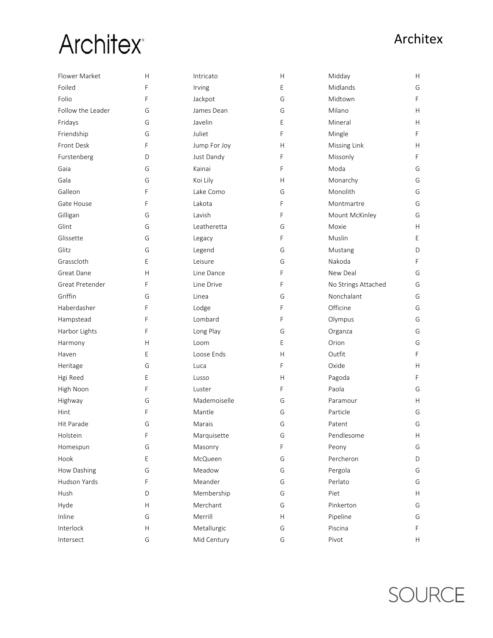## **Architex**

| Flower Market     | Н | Intricato    | Н | Midday              | H  |
|-------------------|---|--------------|---|---------------------|----|
| Foiled            | F | Irving       | E | Midlands            | G  |
| Folio             | F | Jackpot      | G | Midtown             | F  |
| Follow the Leader | G | James Dean   | G | Milano              | H. |
| Fridays           | G | Javelin      | Ε | Mineral             | Н. |
| Friendship        | G | Juliet       | F | Mingle              | F  |
| Front Desk        | F | Jump For Joy | H | Missing Link        | H  |
| Furstenberg       | D | Just Dandy   | F | Missonly            | F  |
| Gaia              | G | Kainai       | F | Moda                | G  |
| Gala              | G | Koi Lily     | Н | Monarchy            | G  |
| Galleon           | F | Lake Como    | G | Monolith            | G  |
| Gate House        | F | Lakota       | F | Montmartre          | G  |
| Gilligan          | G | Lavish       | F | Mount McKinley      | G  |
| Glint             | G | Leatheretta  | G | Moxie               | H. |
| Glissette         | G | Legacy       | F | Muslin              | Е  |
| Glitz             | G | Legend       | G | Mustang             | D  |
| Grasscloth        | E | Leisure      | G | Nakoda              | F  |
| Great Dane        | H | Line Dance   | F | New Deal            | G  |
| Great Pretender   | F | Line Drive   | F | No Strings Attached | G  |
| Griffin           | G | Linea        | G | Nonchalant          | G  |
| Haberdasher       | F | Lodge        | F | Officine            | G  |
| Hampstead         | F | Lombard      | F | Olympus             | G  |
| Harbor Lights     | F | Long Play    | G | Organza             | G  |
| Harmony           | Н | Loom         | E | Orion               | G  |
| Haven             | E | Loose Ends   | H | Outfit              | F  |
| Heritage          | G | Luca         | F | Oxide               | H  |
| Hgi Reed          | E | Lusso        | H | Pagoda              | F  |
| High Noon         | F | Luster       | F | Paola               | G  |
| Highway           | G | Mademoiselle | G | Paramour            | H. |
| Hint              | F | Mantle       | G | Particle            | G  |
| Hit Parade        | G | Marais       | G | Patent              | G  |
| Holstein          | F | Marquisette  | G | Pendlesome          | H  |
| Homespun          | G | Masonry      | F | Peony               | G  |
| Hook              | E | McQueen      | G | Percheron           | D  |
| How Dashing       | G | Meadow       | G | Pergola             | G  |
| Hudson Yards      | F | Meander      | G | Perlato             | G  |
| Hush              | D | Membership   | G | Piet                | H  |
| Hyde              | Н | Merchant     | G | Pinkerton           | G  |
| Inline            | G | Merrill      | H | Pipeline            | G  |
| Interlock         | Н | Metallurgic  | G | Piscina             | F  |
| Intersect         | G | Mid Century  | G | Pivot               | H. |

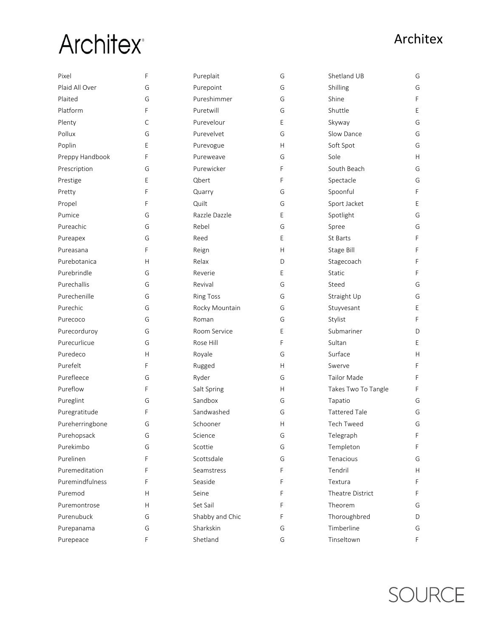## **Architex**

| Pixel           | F            | Pureplait        | G | Shetland UB          | G  |
|-----------------|--------------|------------------|---|----------------------|----|
| Plaid All Over  | G            | Purepoint        | G | Shilling             | G  |
| Plaited         | G            | Pureshimmer      | G | Shine                | F  |
| Platform        | F            | Puretwill        | G | Shuttle              | E  |
| Plenty          | $\mathsf C$  | Purevelour       | E | Skyway               | G  |
| Pollux          | G            | Purevelvet       | G | Slow Dance           | G  |
| Poplin          | Ε            | Purevogue        | Н | Soft Spot            | G  |
| Preppy Handbook | F            | Pureweave        | G | Sole                 | H. |
| Prescription    | G            | Purewicker       | F | South Beach          | G  |
| Prestige        | E            | Qbert            | F | Spectacle            | G  |
| Pretty          | F            | Quarry           | G | Spoonful             | F  |
| Propel          | F            | Quilt            | G | Sport Jacket         | E  |
| Pumice          | G            | Razzle Dazzle    | E | Spotlight            | G  |
| Pureachic       | G            | Rebel            | G | Spree                | G  |
| Pureapex        | G            | Reed             | E | St Barts             | F  |
| Pureasana       | F            | Reign            | H | Stage Bill           | F  |
| Purebotanica    | Н            | Relax            | D | Stagecoach           | F  |
| Purebrindle     | G            | Reverie          | E | <b>Static</b>        | F  |
| Purechallis     | G            | Revival          | G | Steed                | G  |
| Purechenille    | G            | <b>Ring Toss</b> | G | Straight Up          | G  |
| Purechic        | G            | Rocky Mountain   | G | Stuyvesant           | Е  |
| Purecoco        | G            | Roman            | G | Stylist              | F  |
| Purecorduroy    | G            | Room Service     | E | Submariner           | D  |
| Purecurlicue    | G            | Rose Hill        | F | Sultan               | E  |
| Puredeco        | $\mathsf{H}$ | Royale           | G | Surface              | H  |
| Purefelt        | F            | Rugged           | H | Swerve               | F  |
| Purefleece      | G            | Ryder            | G | <b>Tailor Made</b>   | F  |
| Pureflow        | F            | Salt Spring      | H | Takes Two To Tangle  | F  |
| Pureglint       | G            | Sandbox          | G | Tapatio              | G  |
| Puregratitude   | F            | Sandwashed       | G | <b>Tattered Tale</b> | G  |
| Pureherringbone | G            | Schooner         | Η | <b>Tech Tweed</b>    | G  |
| Purehopsack     | G            | Science          | G | Telegraph            | F  |
| Purekimbo       | G            | Scottie          | G | Templeton            | F  |
| Purelinen       | F            | Scottsdale       | G | Tenacious            | G  |
| Puremeditation  | F            | Seamstress       | F | Tendril              | Н. |
| Puremindfulness | F            | Seaside          | F | Textura              | F  |
| Puremod         | Н            | Seine            | F | Theatre District     | F  |
| Puremontrose    | H            | Set Sail         | F | Theorem              | G  |
| Purenubuck      | G            | Shabby and Chic  | F | Thoroughbred         | D  |
| Purepanama      | G            | Sharkskin        | G | Timberline           | G  |
| Purepeace       | F            | Shetland         | G | Tinseltown           | F. |

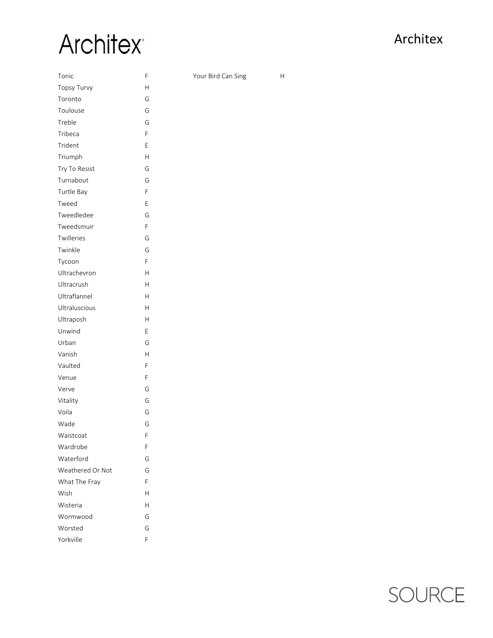## **Architex**<sup>®</sup>

Your Bird Can Sing H

| Tonic              | F |
|--------------------|---|
| <b>Topsy Turvy</b> | Н |
| Toronto            | G |
| Toulouse           | G |
| Treble             | G |
| Tribeca            | F |
| Trident            | Е |
| Triumph            | Н |
| Try To Resist      | G |
| Turnabout          | G |
| Turtle Bay         | F |
| Tweed              | Е |
| Tweedledee         | G |
| Tweedsmuir         | F |
| Twilleries         | G |
| Twinkle            | G |
| Tycoon             | F |
| Ultrachevron       | Н |
| Ultracrush         | Н |
| Ultraflannel       | Н |
| Ultraluscious      | Н |
| Ultraposh          | H |
| Unwind             | Е |
| Urban              | G |
| Vanish             | Н |
| Vaulted            | F |
| Venue              | F |
| Verve              | G |
| Vitality           | G |
| Voila              | G |
| Wade               | G |
| Waistcoat          | F |
| Wardrobe           | F |
| Waterford          | G |
| Weathered Or Not   | G |
| What The Fray      | F |
| Wish               | Н |
| Wisteria           | Н |
| Wormwood           | G |
| Worsted            | G |
| Yorkville          | F |

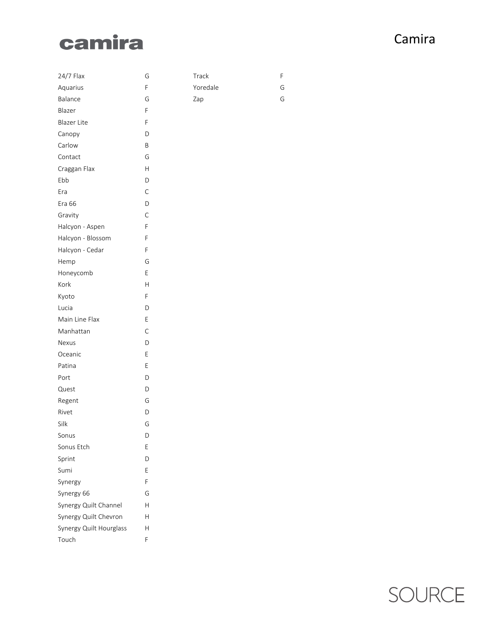### camira

#### Camira

| 24/7 Flax               | G |
|-------------------------|---|
| Aquarius                | F |
| Balance                 | G |
| Blazer                  | F |
| Blazer Lite             | F |
| Canopy                  | D |
| Carlow                  | B |
| Contact                 | G |
| Craggan Flax            | Н |
| Ebb                     | D |
| Era                     | Ċ |
| Era 66                  | D |
| Gravity                 | Ċ |
| Halcyon - Aspen         | F |
| Halcyon - Blossom       | F |
| Halcyon - Cedar         | F |
| Hemp                    | G |
| Honeycomb               | E |
| Kork                    | Н |
| Kyoto                   | F |
| Lucia                   | D |
| Main Line Flax          | E |
| Manhattan               | Ċ |
| Nexus                   | D |
| Oceanic                 | E |
| Patina                  | E |
| Port                    | D |
| Quest                   | D |
| Regent                  | G |
| Rivet                   | D |
| Silk                    | G |
| Sonus                   | D |
| Sonus Etch              | Е |
| Sprint                  | D |
| Sumi                    | E |
| Synergy                 | F |
| Synergy 66              | G |
| Synergy Quilt Channel   | Н |
| Synergy Quilt Chevron   | Н |
| Synergy Quilt Hourglass | Н |
| Touch                   | F |

F G G

Track

Zap

Yoredale

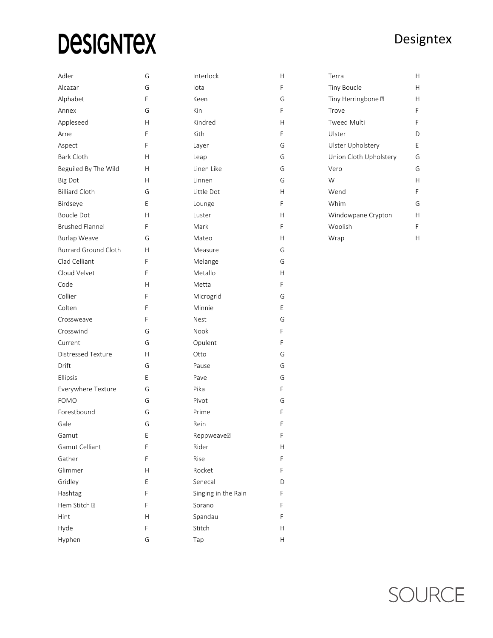# **DESIGNTEX**

#### Designtex

| Adler                       | G | Interlock           | Н                         | Terra                  | Н             |
|-----------------------------|---|---------------------|---------------------------|------------------------|---------------|
| Alcazar                     | G | lota                | F                         | Tiny Boucle            | Н             |
| Alphabet                    | F | Keen                | G                         | Tiny Herringbone ?     | $\mathsf{H}$  |
| Annex                       | G | Kin                 | F                         | Trove                  | F             |
| Appleseed                   | H | Kindred             | H                         | <b>Tweed Multi</b>     | F             |
| Arne                        | F | Kith                | F                         | Ulster                 | D             |
| Aspect                      | F | Layer               | G                         | Ulster Upholstery      | Ε             |
| Bark Cloth                  | Н | Leap                | G                         | Union Cloth Upholstery | G             |
| Beguiled By The Wild        | H | Linen Like          | G                         | Vero                   | G             |
| <b>Big Dot</b>              | H | Linnen              | G                         | W                      | H             |
| <b>Billiard Cloth</b>       | G | Little Dot          | $\mathsf{H}$              | Wend                   | F             |
| Birdseye                    | Ε | Lounge              | F                         | Whim                   | G             |
| Boucle Dot                  | Н | Luster              | $\mathsf{H}$              | Windowpane Crypton     | $\mathsf{H}%$ |
| <b>Brushed Flannel</b>      | F | Mark                | F                         | Woolish                | F             |
| <b>Burlap Weave</b>         | G | Mateo               | H                         | Wrap                   | Н             |
| <b>Burrard Ground Cloth</b> | Н | Measure             | G                         |                        |               |
| Clad Celliant               | F | Melange             | G                         |                        |               |
| Cloud Velvet                | F | Metallo             | $\mathsf{H}$              |                        |               |
| Code                        | Н | Metta               | F                         |                        |               |
| Collier                     | F | Microgrid           | G                         |                        |               |
| Colten                      | F | Minnie              | Е                         |                        |               |
| Crossweave                  | F | Nest                | G                         |                        |               |
| Crosswind                   | G | Nook                | F                         |                        |               |
| Current                     | G | Opulent             | F                         |                        |               |
| Distressed Texture          | H | Otto                | G                         |                        |               |
| Drift                       | G | Pause               | G                         |                        |               |
| Ellipsis                    | Ε | Pave                | G                         |                        |               |
| Everywhere Texture          | G | Pika                | F                         |                        |               |
| <b>FOMO</b>                 | G | Pivot               | G                         |                        |               |
| Forestbound                 | G | Prime               | F                         |                        |               |
| Gale                        | G | Rein                | Ε                         |                        |               |
| Gamut                       | Ε | Reppweave?          | F                         |                        |               |
| Gamut Celliant              | F | Rider               | H                         |                        |               |
| Gather                      | F | Rise                | F                         |                        |               |
| Glimmer                     | Н | Rocket              | F                         |                        |               |
| Gridley                     | E | Senecal             | D                         |                        |               |
| Hashtag                     | F | Singing in the Rain | F                         |                        |               |
| Hem Stitch ?                | F | Sorano              | F                         |                        |               |
| Hint                        | Н | Spandau             | F                         |                        |               |
| Hyde                        | F | Stitch              | H                         |                        |               |
| Hyphen                      | G | Tap                 | $\boldsymbol{\mathsf{H}}$ |                        |               |

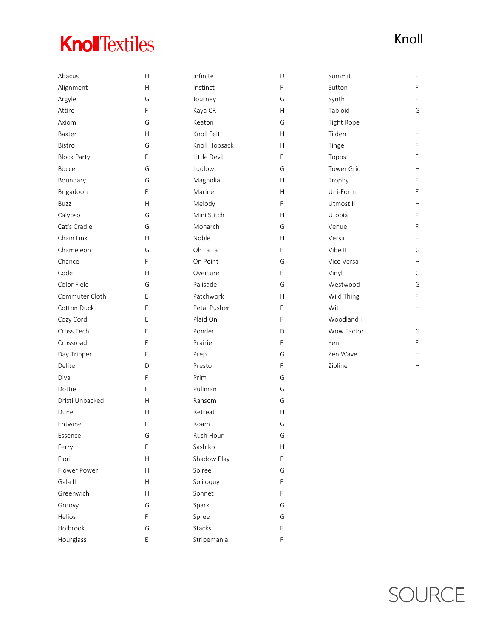### **KnollTextiles**

| Abacus             | H           | Infinite      | D | Summit      | F           |
|--------------------|-------------|---------------|---|-------------|-------------|
| Alignment          | H           | Instinct      | F | Sutton      | F           |
| Argyle             | G           | Journey       | G | Synth       | $\mathsf F$ |
| Attire             | F           | Kaya CR       | Н | Tabloid     | G           |
| Axiom              | G           | Keaton        | G | Tight Rope  | Н           |
| Baxter             | H           | Knoll Felt    | H | Tilden      | Н           |
| Bistro             | G           | Knoll Hopsack | Н | Tinge       | F           |
| <b>Block Party</b> | F           | Little Devil  | F | Topos       | F           |
| Bocce              | G           | Ludlow        | G | Tower Grid  | Н           |
| Boundary           | G           | Magnolia      | Н | Trophy      | F           |
| Brigadoon          | F           | Mariner       | H | Uni-Form    | E           |
| Buzz               | H           | Melody        | F | Utmost II   | H           |
| Calypso            | G           | Mini Stitch   | Η | Utopia      | $\mathsf F$ |
| Cat's Cradle       | G           | Monarch       | G | Venue       | F           |
| Chain Link         | H           | Noble         | Н | Versa       | F           |
| Chameleon          | G           | Oh La La      | E | Vibe II     | G           |
| Chance             | F           | On Point      | G | Vice Versa  | H           |
| Code               | Н           | Overture      | Е | Vinyl       | G           |
| Color Field        | G           | Palisade      | G | Westwood    | G           |
| Commuter Cloth     | E           | Patchwork     | Н | Wild Thing  | F           |
| Cotton Duck        | Ε           | Petal Pusher  | F | Wit         | Н           |
| Cozy Cord          | E           | Plaid On      | F | Woodland II | H           |
| Cross Tech         | Ε           | Ponder        | D | Wow Factor  | G           |
| Crossroad          | E           | Prairie       | F | Yeni        | F           |
| Day Tripper        | F           | Prep          | G | Zen Wave    | Н           |
| Delite             | D           | Presto        | F | Zipline     | Н           |
| Diva               | F           | Prim          | G |             |             |
| Dottie             | F           | Pullman       | G |             |             |
| Dristi Unbacked    | Н           | Ransom        | G |             |             |
| Dune               | Н           | Retreat       | Н |             |             |
| Entwine            | F           | Roam          | G |             |             |
| Essence            | G           | Rush Hour     | G |             |             |
| Ferry              | F           | Sashiko       | Н |             |             |
| Fiori              | Н           | Shadow Play   | F |             |             |
| Flower Power       | Н           | Soiree        | G |             |             |
| Gala II            | H           | Soliloquy     | E |             |             |
| Greenwich          | H           | Sonnet        | F |             |             |
| Groovy             | G           | Spark         | G |             |             |
| Helios             | F           | Spree         | G |             |             |
| Holbrook           | G           | Stacks        | F |             |             |
| Hourglass          | $\mathsf E$ | Stripemania   | F |             |             |

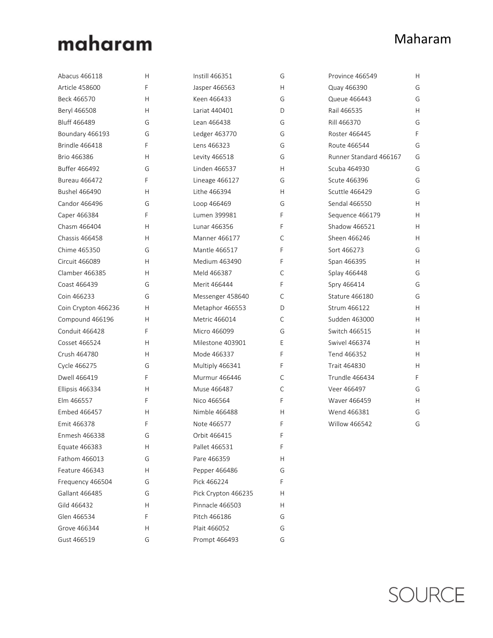### maharam

#### Maharam

| Abacus 466118         | Н | Instill 466351       | G | Province 466549        | H. |
|-----------------------|---|----------------------|---|------------------------|----|
| <b>Article 458600</b> | F | Jasper 466563        | Н | Quay 466390            | G  |
| Beck 466570           | Н | Keen 466433          | G | Queue 466443           | G  |
| Beryl 466508          | Η | Lariat 440401        | D | Rail 466535            | н  |
| <b>Bluff 466489</b>   | G | Lean 466438          | G | Rill 466370            | G  |
| Boundary 466193       | G | Ledger 463770        | G | Roster 466445          | F  |
| <b>Brindle 466418</b> | F | Lens 466323          | G | Route 466544           | G  |
| Brio 466386           | Н | Levity 466518        | G | Runner Standard 466167 | G  |
| Buffer 466492         | G | Linden 466537        | Η | Scuba 464930           | G  |
| Bureau 466472         | F | Lineage 466127       | G | Scute 466396           | G  |
| <b>Bushel 466490</b>  | Н | Lithe 466394         | H | Scuttle 466429         | G  |
| Candor 466496         | G | Loop 466469          | G | Sendal 466550          | H  |
| Caper 466384          | F | Lumen 399981         | F | Sequence 466179        | Н  |
| Chasm 466404          | Н | Lunar 466356         | F | Shadow 466521          | н  |
| <b>Chassis 466458</b> | H | <b>Manner 466177</b> | С | Sheen 466246           | H  |
| Chime 465350          | G | Mantle 466517        | F | Sort 466273            | G  |
| Circuit 466089        | H | Medium 463490        | F | Span 466395            | H  |
| Clamber 466385        | H | Meld 466387          | С | Splay 466448           | G  |
| Coast 466439          | G | Merit 466444         | F | Spry 466414            | G  |
| Coin 466233           | G | Messenger 458640     | C | Stature 466180         | G  |
| Coin Crypton 466236   | Н | Metaphor 466553      | D | Strum 466122           | H  |
| Compound 466196       | Н | Metric 466014        | C | Sudden 463000          | H  |
| Conduit 466428        | F | Micro 466099         | G | Switch 466515          | H  |
| Cosset 466524         | H | Milestone 403901     | E | <b>Swivel 466374</b>   | н  |
| Crush 464780          | H | Mode 466337          | F | Tend 466352            | H  |
| Cycle 466275          | G | Multiply 466341      | F | Trait 464830           | H  |
| Dwell 466419          | F | Murmur 466446        | С | Trundle 466434         | F  |
| Ellipsis 466334       | Н | Muse 466487          | С | Veer 466497            | G  |
| Elm 466557            | F | Nico 466564          | F | Waver 466459           | Н  |
| Embed 466457          | H | Nimble 466488        | Н | Wend 466381            | G  |
| Emit 466378           | F | Note 466577          | F | <b>Willow 466542</b>   | G  |
| Enmesh 466338         | G | Orbit 466415         | F |                        |    |
| Equate 466383         | Н | Pallet 466531        | F |                        |    |
| Fathom 466013         | G | Pare 466359          | Н |                        |    |
| Feature 466343        | Н | Pepper 466486        | G |                        |    |
| Frequency 466504      | G | Pick 466224          | F |                        |    |
| Gallant 466485        | G | Pick Crypton 466235  | Н |                        |    |
| Gild 466432           | Н | Pinnacle 466503      | Н |                        |    |
| Glen 466534           | F | Pitch 466186         | G |                        |    |
| Grove 466344          | Н | Plait 466052         | G |                        |    |
| Gust 466519           | G | Prompt 466493        | G |                        |    |

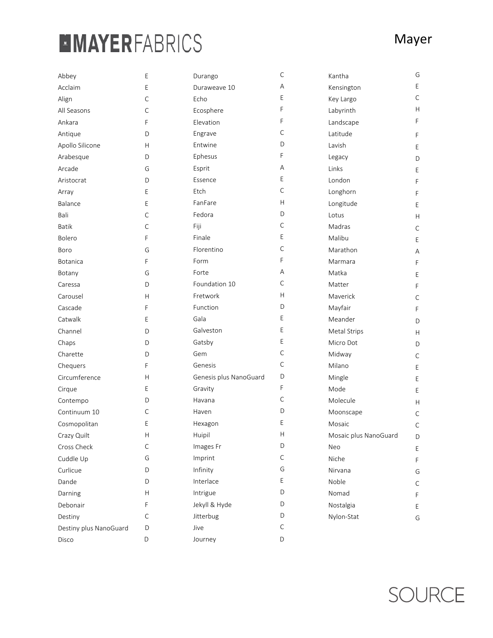### **MMAYERFABRICS**

| Abbey                  | Ε           | Durango                | $\mathsf C$  | Kantha                | G            |
|------------------------|-------------|------------------------|--------------|-----------------------|--------------|
| Acclaim                | Ε           | Duraweave 10           | Α            | Kensington            | E            |
| Align                  | C           | Echo                   | E            | Key Largo             | $\mathsf{C}$ |
| All Seasons            | C           | Ecosphere              | F            | Labyrinth             | H            |
| Ankara                 | F           | Elevation              | F            | Landscape             | F            |
| Antique                | D           | Engrave                | С            | Latitude              | F            |
| Apollo Silicone        | H           | Entwine                | D            | Lavish                | Е            |
| Arabesque              | D           | Ephesus                | F            | Legacy                | D            |
| Arcade                 | G           | Esprit                 | Α            | Links                 | E            |
| Aristocrat             | D           | Essence                | E            | London                | F            |
| Array                  | E           | Etch                   | $\mathsf C$  | Longhorn              | F            |
| Balance                | Ε           | FanFare                | н            | Longitude             | Е            |
| Bali                   | $\mathsf C$ | Fedora                 | D            | Lotus                 | H            |
| <b>Batik</b>           | $\mathsf C$ | Fiji                   | $\mathsf{C}$ | Madras                | $\mathsf C$  |
| Bolero                 | F           | Finale                 | E            | Malibu                | E            |
| Boro                   | G           | Florentino             | $\mathsf C$  | Marathon              | Α            |
| <b>Botanica</b>        | F           | Form                   | F            | Marmara               | F            |
| Botany                 | G           | Forte                  | Α            | Matka                 | Е            |
| Caressa                | D           | Foundation 10          | $\mathsf{C}$ | Matter                | F            |
| Carousel               | H           | Fretwork               | Н            | Maverick              | С            |
| Cascade                | F           | Function               | D            | Mayfair               | F            |
| Catwalk                | Ε           | Gala                   | Е            | Meander               | D            |
| Channel                | D           | Galveston              | E            | Metal Strips          | Н.           |
| Chaps                  | D           | Gatsby                 | E            | Micro Dot             | D            |
| Charette               | D           | Gem                    | $\mathsf{C}$ | Midway                | С            |
| Chequers               | F           | Genesis                | $\mathsf{C}$ | Milano                | Е            |
| Circumference          | Н           | Genesis plus NanoGuard | D            | Mingle                | E            |
| Cirque                 | E           | Gravity                | F            | Mode                  | E            |
| Contempo               | D           | Havana                 | $\mathsf{C}$ | Molecule              | H            |
| Continuum 10           | C           | Haven                  | D            | Moonscape             | С            |
| Cosmopolitan           | Ε           | Hexagon                | Е            | Mosaic                | $\mathsf C$  |
| Crazy Quilt            | Н           | Huipil                 | Н            | Mosaic plus NanoGuard | D            |
| Cross Check            | С           | Images Fr              | D            | Neo                   | E.           |
| Cuddle Up              | G           | Imprint                | $\mathsf{C}$ | Niche                 | F            |
| Curlicue               | D           | Infinity               | G            | Nirvana               | G            |
| Dande                  | D           | Interlace              | E            | Noble                 | С            |
| Darning                | Н           | Intrigue               | D            | Nomad                 | F.           |
| Debonair               | F           | Jekyll & Hyde          | D            | Nostalgia             | E.           |
| Destiny                | $\mathsf C$ | Jitterbug              | D            | Nylon-Stat            | G            |
| Destiny plus NanoGuard | D           | Jive                   | $\mathsf C$  |                       |              |
| Disco                  | D           | Journey                | D            |                       |              |

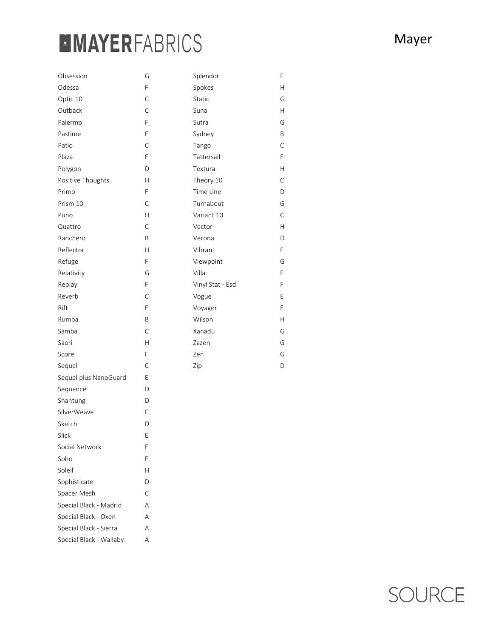### **MMAYERFABRICS**

| Obsession              | G | Splendor         |
|------------------------|---|------------------|
| Odessa                 | F | Spokes           |
| Optic 10               | C | Static           |
| Outback                | C | Suna             |
| Palermo                | F | Sutra            |
| Pastime                | F | Sydney           |
| Patio                  | C | Tango            |
| Plaza                  | F | Tattersall       |
| Polygon                | D | Textura          |
| Positive Thoughts      | H | Theory 10        |
| Primo                  | F | Time Line        |
| Prism 10               | C | Turnabout        |
| Puno                   | Н | Variant 10       |
| Quattro                | C | Vector           |
| Ranchero               | Β | Verona           |
| Reflector              | Н | Vibrant          |
| Refuge                 | F | Viewpoint        |
| Relativity             | G | Villa            |
| Replay                 | F | Vinyl Stat - Esd |
| Reverb                 | С | Vogue            |
| Rift                   | F | Voyager          |
| Rumba                  | Β | Wilson           |
| Samba                  | C | Xanadu           |
| Saori                  | Н | Zazen            |
| Score                  | F | Zen              |
| Sequel                 | C | Zip              |
| Sequel plus NanoGuard  | Е |                  |
| Sequence               | D |                  |
| Shantung               | D |                  |
| SilverWeave            | Ε |                  |
| Sketch                 | D |                  |
| Slick                  | Ε |                  |
| Social Network         | Е |                  |
| Soho                   | F |                  |
| Soleil                 | Н |                  |
| Sophisticate           | D |                  |
| Spacer Mesh            | C |                  |
| Special Black - Madrid | A |                  |
| Special Black - Oxen   | A |                  |
| Special Black - Sierra | Α |                  |

Special Black - Wallaby A

F

H

G

H

G

B

C

F

H

C

 $\mathsf D$ 

G

C

H

D

F

G

F

F

E

F

H

G

G

G

D

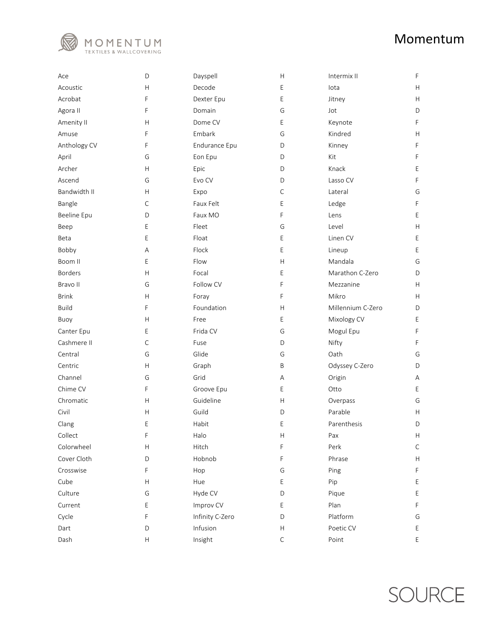

| Ace            | D                         | Dayspell        | Η            | Intermix II       | F  |
|----------------|---------------------------|-----------------|--------------|-------------------|----|
| Acoustic       | $\mathsf{H}$              | Decode          | E            | lota              | H. |
| Acrobat        | F                         | Dexter Epu      | E            | Jitney            | H  |
| Agora II       | F                         | Domain          | G            | Jot               | D  |
| Amenity II     | Н                         | Dome CV         | E            | Keynote           | F  |
| Amuse          | F                         | Embark          | G            | Kindred           | H  |
| Anthology CV   | F                         | Endurance Epu   | D            | Kinney            | F  |
| April          | G                         | Eon Epu         | D            | Kit               | F  |
| Archer         | $\mathsf{H}$              | Epic            | D            | Knack             | Е  |
| Ascend         | G                         | Evo CV          | D            | Lasso CV          | F  |
| Bandwidth II   | H                         | Expo            | $\mathsf{C}$ | Lateral           | G  |
| Bangle         | C                         | Faux Felt       | E            | Ledge             | F  |
| Beeline Epu    | D                         | Faux MO         | F            | Lens              | Е  |
| Beep           | Е                         | Fleet           | G            | Level             | H  |
| Beta           | E                         | Float           | E            | Linen CV          | E  |
| Bobby          | Α                         | Flock           | E            | Lineup            | E  |
| Boom II        | Е                         | Flow            | H            | Mandala           | G  |
| <b>Borders</b> | Н                         | Focal           | E            | Marathon C-Zero   | D  |
| Bravo II       | G                         | Follow CV       | F            | Mezzanine         | H. |
| <b>Brink</b>   | H                         | Foray           | F            | Mikro             | H. |
| <b>Build</b>   | F                         | Foundation      | H            | Millennium C-Zero | D  |
| Buoy           | Н                         | Free            | E            | Mixology CV       | Е  |
| Canter Epu     | Е                         | Frida CV        | G            | Mogul Epu         | F  |
| Cashmere II    | С                         | Fuse            | D            | Nifty             | F  |
| Central        | G                         | Glide           | G            | Oath              | G  |
| Centric        | Н                         | Graph           | Β            | Odyssey C-Zero    | D  |
| Channel        | G                         | Grid            | Α            | Origin            | Α  |
| Chime CV       | F                         | Groove Epu      | E            | Otto              | Ε  |
| Chromatic      | Н                         | Guideline       | Н            | Overpass          | G  |
| Civil          | Н                         | Guild           | D            | Parable           | H  |
| Clang          | Е                         | Habit           | E            | Parenthesis       | D  |
| Collect        | F                         | Halo            | Н            | Pax               | H  |
| Colorwheel     | Н                         | Hitch           | F            | Perk              | С  |
| Cover Cloth    | D                         | Hobnob          | F            | Phrase            | H  |
| Crosswise      | F                         | Hop             | G            | Ping              | F  |
| Cube           | $\mathsf{H}$              | Hue             | E            | Pip               | Ε  |
| Culture        | G                         | Hyde CV         | D            | Pique             | Ε  |
| Current        | Е                         | Improv CV       | Ε            | Plan              | F  |
| Cycle          | F                         | Infinity C-Zero | D            | Platform          | G  |
| Dart           | D                         | Infusion        | H            | Poetic CV         | Ε  |
| Dash           | $\boldsymbol{\mathsf{H}}$ | Insight         | $\mathsf C$  | Point             | E  |

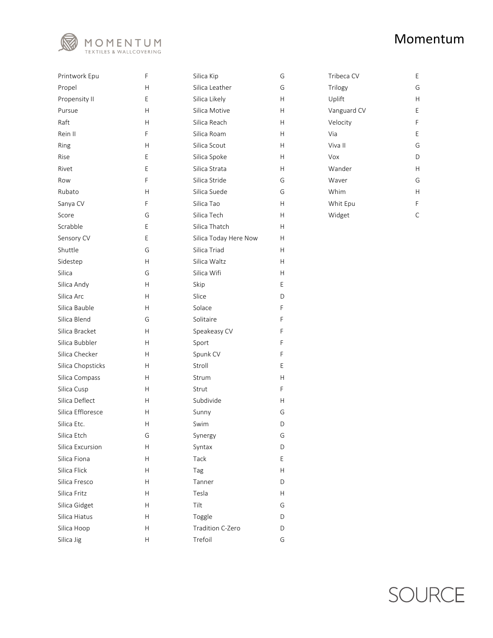

| Printwork Epu     | F | Silica Kip            | G | Tribeca CV  | E            |
|-------------------|---|-----------------------|---|-------------|--------------|
| Propel            | Н | Silica Leather        | G | Trilogy     | G            |
| Propensity II     | E | Silica Likely         | Н | Uplift      | Н            |
| Pursue            | H | Silica Motive         | Η | Vanguard CV | E            |
| Raft              | Н | Silica Reach          | Η | Velocity    | F            |
| Rein II           | F | Silica Roam           | H | Via         | E            |
| Ring              | Н | Silica Scout          | Н | Viva II     | G            |
| Rise              | Е | Silica Spoke          | н | Vox         | D            |
| Rivet             | E | Silica Strata         | Η | Wander      | $\mathsf{H}$ |
| Row               | F | Silica Stride         | G | Waver       | G            |
| Rubato            | Н | Silica Suede          | G | Whim        | $\mathsf{H}$ |
| Sanya CV          | F | Silica Tao            | Н | Whit Epu    | $\mathsf F$  |
| Score             | G | Silica Tech           | Н | Widget      | $\mathsf{C}$ |
| Scrabble          | Е | Silica Thatch         | Η |             |              |
| Sensory CV        | E | Silica Today Here Now | Н |             |              |
| Shuttle           | G | Silica Triad          | Н |             |              |
| Sidestep          | H | Silica Waltz          | H |             |              |
| Silica            | G | Silica Wifi           | н |             |              |
| Silica Andy       | H | Skip                  | Е |             |              |
| Silica Arc        | H | Slice                 | D |             |              |
| Silica Bauble     | H | Solace                | F |             |              |
| Silica Blend      | G | Solitaire             | F |             |              |
| Silica Bracket    | H | Speakeasy CV          | F |             |              |
| Silica Bubbler    | H | Sport                 | F |             |              |
| Silica Checker    | H | Spunk CV              | F |             |              |
| Silica Chopsticks | Н | Stroll                | E |             |              |
| Silica Compass    | H | Strum                 | Н |             |              |
| Silica Cusp       | H | Strut                 | F |             |              |
| Silica Deflect    | H | Subdivide             | Η |             |              |
| Silica Effloresce | H | Sunny                 | G |             |              |
| Silica Etc.       | Н | Swim                  | D |             |              |
| Silica Etch       | G | Synergy               | G |             |              |
| Silica Excursion  | Н | Syntax                | D |             |              |
| Silica Fiona      | Н | Tack                  | Е |             |              |
| Silica Flick      | Н | Tag                   | Н |             |              |
| Silica Fresco     | Н | Tanner                | D |             |              |
| Silica Fritz      | H | Tesla                 | Н |             |              |
| Silica Gidget     | Н | Tilt                  | G |             |              |
| Silica Hiatus     | Н | Toggle                | D |             |              |
| Silica Hoop       | Н | Tradition C-Zero      | D |             |              |
| Silica Jig        | H | Trefoil               | G |             |              |

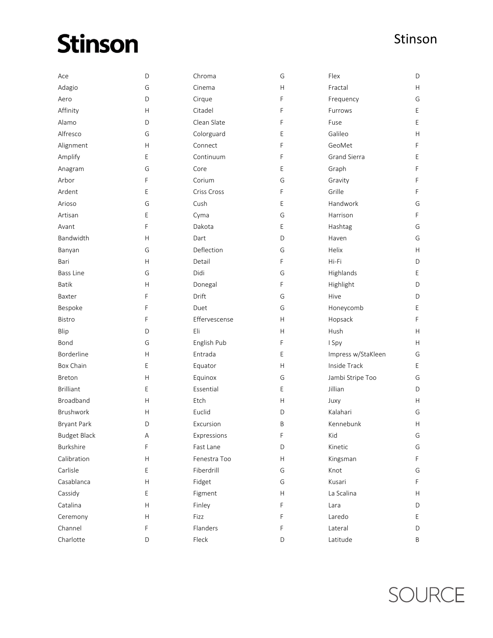### **Stinson**

| Ace                 | D           | Chroma        | G                         | Flex               | D  |
|---------------------|-------------|---------------|---------------------------|--------------------|----|
| Adagio              | G           | Cinema        | H                         | Fractal            | H  |
| Aero                | D           | Cirque        | F                         | Frequency          | G  |
| Affinity            | H           | Citadel       | F                         | Furrows            | Е  |
| Alamo               | D           | Clean Slate   | F                         | Fuse               | E  |
| Alfresco            | G           | Colorguard    | E                         | Galileo            | H  |
| Alignment           | Η           | Connect       | F                         | GeoMet             | F  |
| Amplify             | Е           | Continuum     | F                         | Grand Sierra       | E  |
| Anagram             | G           | Core          | E                         | Graph              | F  |
| Arbor               | F           | Corium        | G                         | Gravity            | F  |
| Ardent              | E           | Criss Cross   | F                         | Grille             | F  |
| Arioso              | G           | Cush          | E                         | Handwork           | G  |
| Artisan             | Е           | Cyma          | G                         | Harrison           | F  |
| Avant               | F           | Dakota        | E                         | Hashtag            | G  |
| Bandwidth           | H           | Dart          | D                         | Haven              | G  |
| Banyan              | G           | Deflection    | G                         | Helix              | H  |
| Bari                | Η           | Detail        | F                         | Hi-Fi              | D  |
| <b>Bass Line</b>    | G           | Didi          | G                         | Highlands          | E  |
| Batik               | H           | Donegal       | F                         | Highlight          | D  |
| Baxter              | F           | Drift         | G                         | Hive               | D  |
| Bespoke             | F           | Duet          | G                         | Honeycomb          | Е  |
| Bistro              | F           | Effervescense | H                         | Hopsack            | F  |
| Blip                | D           | Eli           | H                         | Hush               | H  |
| Bond                | G           | English Pub   | F                         | I Spy              | H  |
| Borderline          | H           | Entrada       | E                         | Impress w/StaKleen | G  |
| Box Chain           | Ε           | Equator       | Н                         | Inside Track       | Е  |
| <b>Breton</b>       | Η           | Equinox       | G                         | Jambi Stripe Too   | G  |
| <b>Brilliant</b>    | Ε           | Essential     | E                         | Jillian            | D  |
| <b>Broadband</b>    | H           | Etch          | Н                         | Juxy               | H. |
| Brushwork           | H           | Euclid        | D                         | Kalahari           | G  |
| <b>Bryant Park</b>  | D           | Excursion     | Β                         | Kennebunk          | н  |
| <b>Budget Black</b> | A           | Expressions   | F                         | Kid                | G  |
| Burkshire           | F           | Fast Lane     | D                         | Kinetic            | G  |
| Calibration         | H           | Fenestra Too  | Н                         | Kingsman           | F  |
| Carlisle            | E           | Fiberdrill    | G                         | Knot               | G  |
| Casablanca          | H           | Fidget        | G                         | Kusari             | F  |
| Cassidy             | Ε           | Figment       | $\boldsymbol{\mathsf{H}}$ | La Scalina         | Н. |
| Catalina            | H           | Finley        | F                         | Lara               | D  |
| Ceremony            | H           | Fizz          | F                         | Laredo             | E. |
| Channel             | F           | Flanders      | F                         | Lateral            | D  |
| Charlotte           | $\mathsf D$ | Fleck         | D                         | Latitude           | Β  |

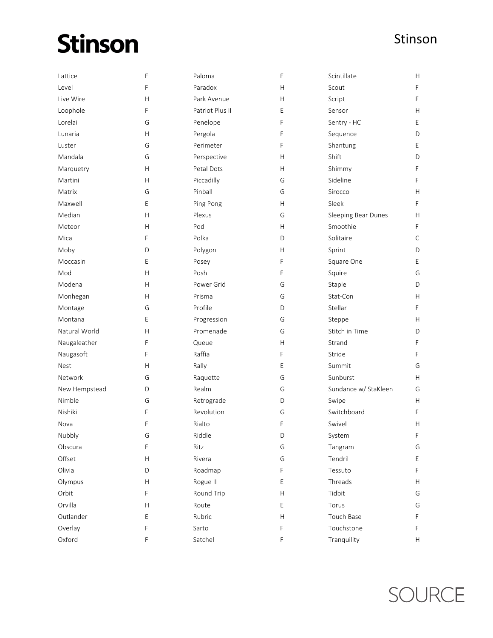## **Stinson**

| Lattice       | Ε              | Paloma          | E                         | Scintillate          | H           |
|---------------|----------------|-----------------|---------------------------|----------------------|-------------|
| Level         | F              | Paradox         | H                         | Scout                | F           |
| Live Wire     | Н              | Park Avenue     | Н                         | Script               | F           |
| Loophole      | F              | Patriot Plus II | E                         | Sensor               | H           |
| Lorelai       | G              | Penelope        | F                         | Sentry - HC          | E           |
| Lunaria       | Н              | Pergola         | F                         | Sequence             | D           |
| Luster        | G              | Perimeter       | F                         | Shantung             | Е           |
| Mandala       | G              | Perspective     | Н                         | Shift                | D           |
| Marquetry     | H              | Petal Dots      | Н                         | Shimmy               | F           |
| Martini       | $\overline{H}$ | Piccadilly      | G                         | Sideline             | F           |
| Matrix        | G              | Pinball         | G                         | Sirocco              | H           |
| Maxwell       | Ε              | Ping Pong       | H                         | Sleek                | F           |
| Median        | $\mathsf{H}$   | Plexus          | G                         | Sleeping Bear Dunes  | H           |
| Meteor        | Η              | Pod             | Н                         | Smoothie             | F           |
| Mica          | F              | Polka           | D                         | Solitaire            | $\mathsf C$ |
| Moby          | D              | Polygon         | Н                         | Sprint               | D           |
| Moccasin      | Ε              | Posey           | F                         | Square One           | E           |
| Mod           | Н              | Posh            | F                         | Squire               | G           |
| Modena        | Η              | Power Grid      | G                         | Staple               | D           |
| Monhegan      | $\overline{H}$ | Prisma          | G                         | Stat-Con             | н           |
| Montage       | G              | Profile         | D                         | Stellar              | F           |
| Montana       | Ε              | Progression     | G                         | Steppe               | H           |
| Natural World | $\mathsf{H}$   | Promenade       | G                         | Stitch in Time       | D           |
| Naugaleather  | F              | Queue           | Н                         | Strand               | F           |
| Naugasoft     | F              | Raffia          | F                         | Stride               | F           |
| Nest          | Η              | Rally           | E                         | Summit               | G           |
| Network       | G              | Raquette        | G                         | Sunburst             | H           |
| New Hempstead | D              | Realm           | G                         | Sundance w/ StaKleen | G           |
| Nimble        | G              | Retrograde      | D                         | Swipe                | H           |
| Nishiki       | F              | Revolution      | G                         | Switchboard          | F           |
| Nova          | F              | Rialto          | F                         | Swivel               | н           |
| Nubbly        | G              | Riddle          | D                         | System               | F           |
| Obscura       | F              | Ritz            | G                         | Tangram              | G           |
| Offset        | Η              | Rivera          | G                         | Tendril              | Е           |
| Olivia        | D              | Roadmap         | F                         | Tessuto              | F           |
| Olympus       | Η              | Rogue II        | E                         | Threads              | H           |
| Orbit         | F              | Round Trip      | $\boldsymbol{\mathsf{H}}$ | Tidbit               | G           |
| Orvilla       | Η              | Route           | Ε                         | Torus                | G           |
| Outlander     | Ε              | Rubric          | H                         | Touch Base           | F           |
| Overlay       | F              | Sarto           | F                         | Touchstone           | F           |
| Oxford        | F              | Satchel         | F                         | Tranquility          | H           |

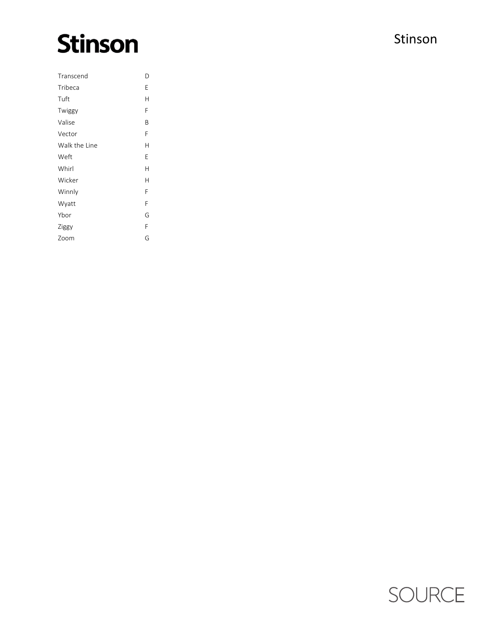### **Stinson**

| Transcend     | D |
|---------------|---|
| Tribeca       | E |
| Tuft          | Н |
| Twiggy        | F |
| Valise        | Β |
| Vector        | F |
| Walk the Line | Н |
| Weft          | Е |
| Whirl         | Н |
| Wicker        | H |
| Winnly        | F |
| Wyatt         | F |
| Ybor          | G |
| Ziggy         | F |
| Zoom          | G |

#### Stinson